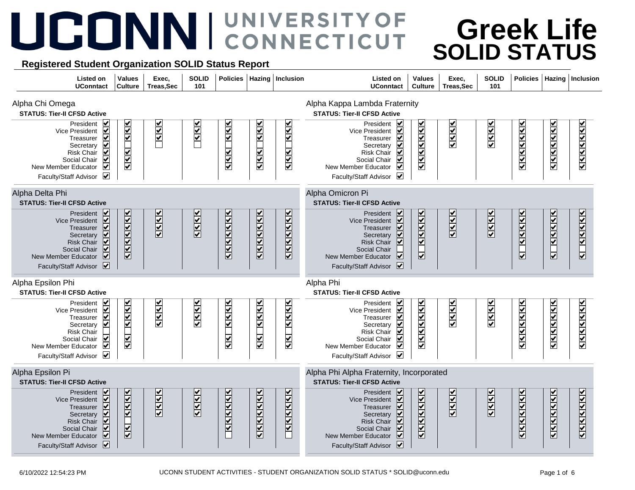## UCONNI CONNECTICUT

## **Greek Life SOLID STATUS**

## **Registered Student Organization SOLID Status Report**

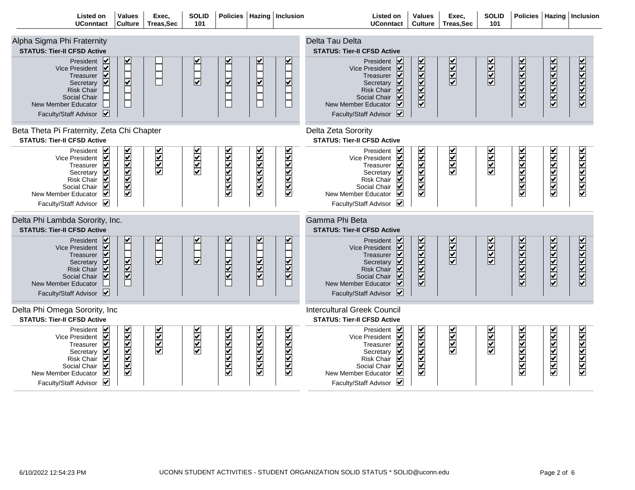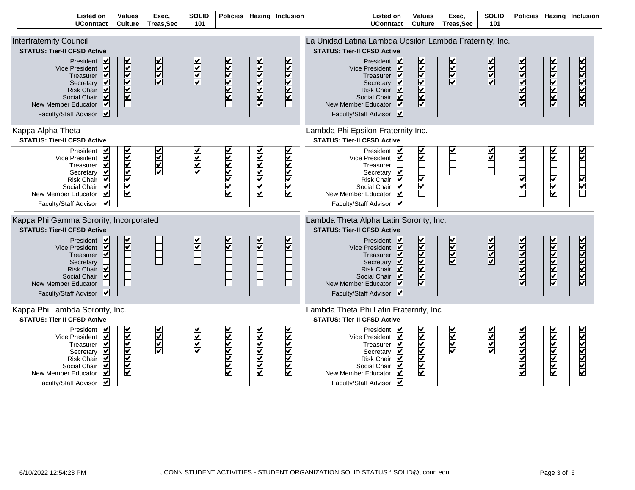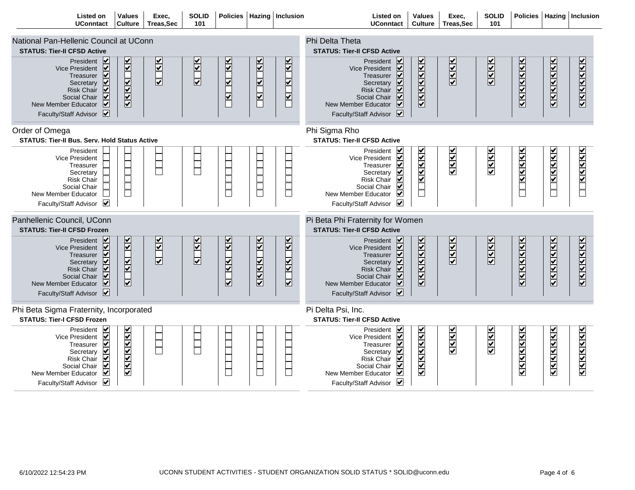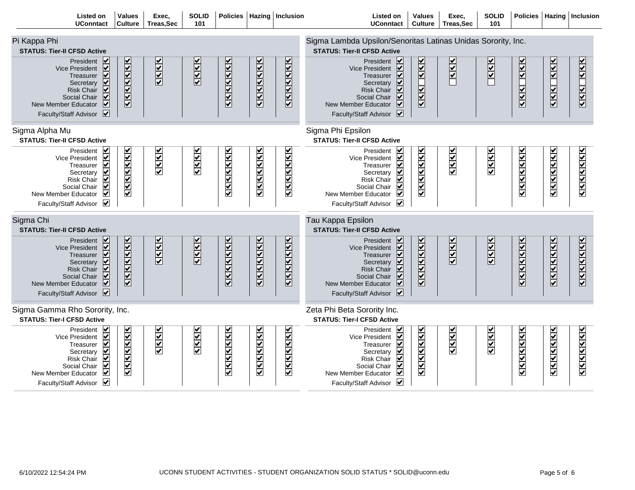